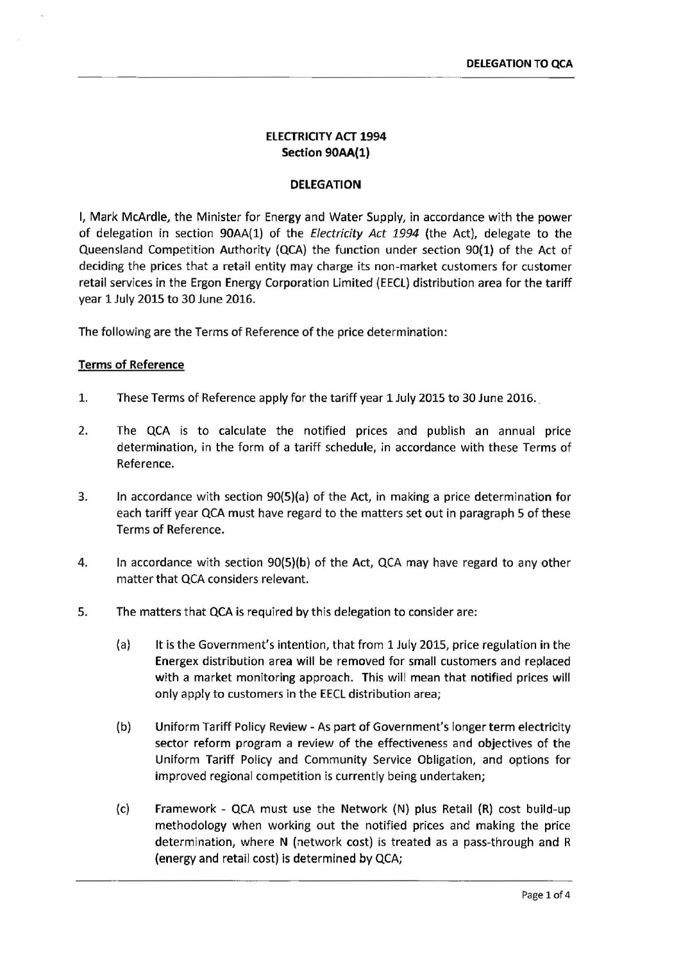# ELECTRICITY ACT 1994 Section 90AA(1)

## DELEGATION

I, Mark McArdle, the Minister for Energy and Water Supply, in accordance with the power of delegation in section 90AA(1) of the *Electricity Act 1994* (the Act), delegate to the Queensland Competition Authority (QCA) the function under section 90(1) of the Act of deciding the prices that a retail entity may charge its non-market customers for customer retail services in the Ergon Energy Corporation Limited (EECL) distribution area for the tariff year 1 July 2015 to 30 June 2016.

The following are the Terms of Reference of the price determination:

### Terms of Reference

- 1. These Terms of Reference apply for the tariff year 1 July 2015 to 30 June 2016.
- 2. The QCA is to calculate the notified prices and publish an annual price determination, in the form of a tariff schedule, in accordance with these Terms of Reference.
- 3. In accordance with section 90{5)(a) of the Act, in making a price determination for each tariff year QCA must have regard to the matters set out in paragraph 5 of these Terms of Reference.
- 4. In accordance with section 90{5)(b) of the Act, QCA may have regard to any other matter that QCA considers relevant.
- 5. The matters that QCA is required by this delegation to consider are:
	- (a) It is the Government's intention, that from 1 July 2015, price regulation in the Energex distribution area will be removed for small customers and replaced with a market monitoring approach. This will mean that notified prices will only apply to customers in the EECL distribution area;
	- {b) Uniform Tariff Policy Review- As part of Government's longer term electricity sector reform program a review of the effectiveness and objectives of the Uniform Tariff Policy and Community Service Obligation, and options for improved regional competition is currently being undertaken;
	- (c) Framework QCA must use the Network (N) plus Retail (R) cost build-up methodology when working out the notified prices and making the price determination, where N (network cost) is treated as a pass-through and R (energy and retail cost) is determined by QCA;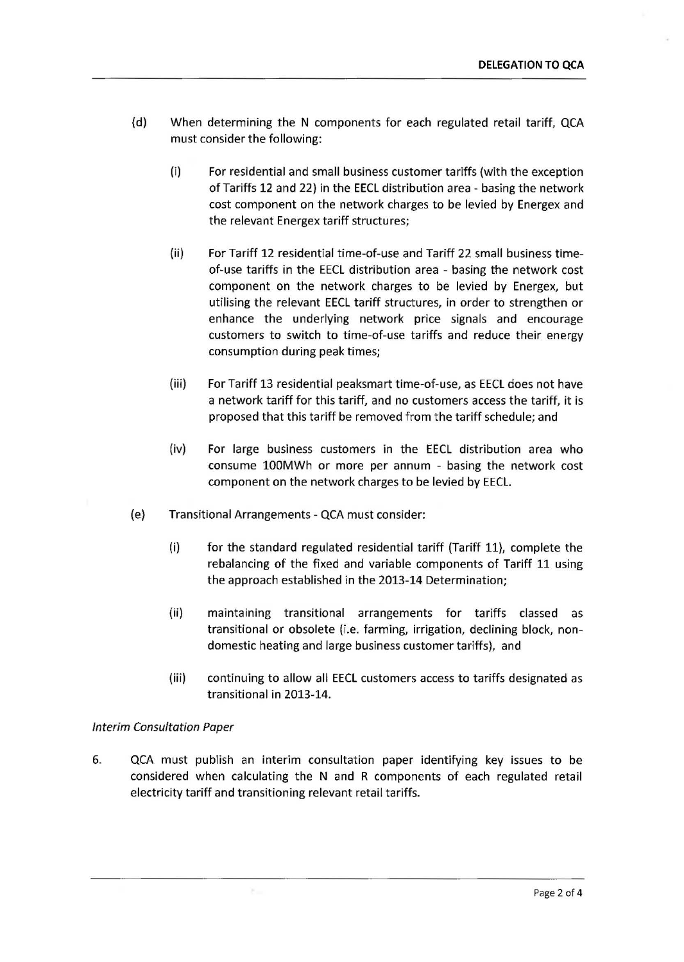- (d) When determining the N components for each regulated retail tariff, QCA must consider the following:
	- (i) For residential and small business customer tariffs (with the exception of Tariffs 12 and 22) in the EECL distribution area- basing the network cost component on the network charges to be levied by Energex and the relevant Energex tariff structures;
	- (ii) For Tariff 12 residential time-of-use and Tariff 22 small business timeof-use tariffs in the EECL distribution area - basing the network cost component on the network charges to be levied by Energex, but utilising the relevant EECL tariff structures, in order to strengthen or enhance the underlying network price signals and encourage customers to switch to time-of-use tariffs and reduce their energy consumption during peak times;
	- (iii) For Tariff 13 residential peaksmart time-of-use, as EECL does not have a network tariff for this tariff, and no customers access the tariff, it is proposed that this tariff be removed from the tariff schedule; and
	- (iv) For large business customers in the EECL distribution area who consume 100MWh or more per annum - basing the network cost component on the network charges to be levied by EECL.
- (e) Transitional Arrangements- QCA must consider:

 $\Sigma-$ 

- (i) for the standard regulated residential tariff (Tariff 11), complete the rebalancing of the fixed and variable components of Tariff 11 using the approach established in the 2013-14 Determination;
- (ii) maintaining transitional arrangements for tariffs classed as transitional or obsolete (i.e. farming, irrigation, declining block, nondomestic heating and large business customer tariffs), and
- (iii) continuing to allow all EECL customers access to tariffs designated as transitional in 2013-14.

# Interim Consultation Paper

6. QCA must publish an interim consultation paper identifying key issues to be considered when calculating the N and R components of each regulated retail electricity tariff and transitioning relevant retail tariffs.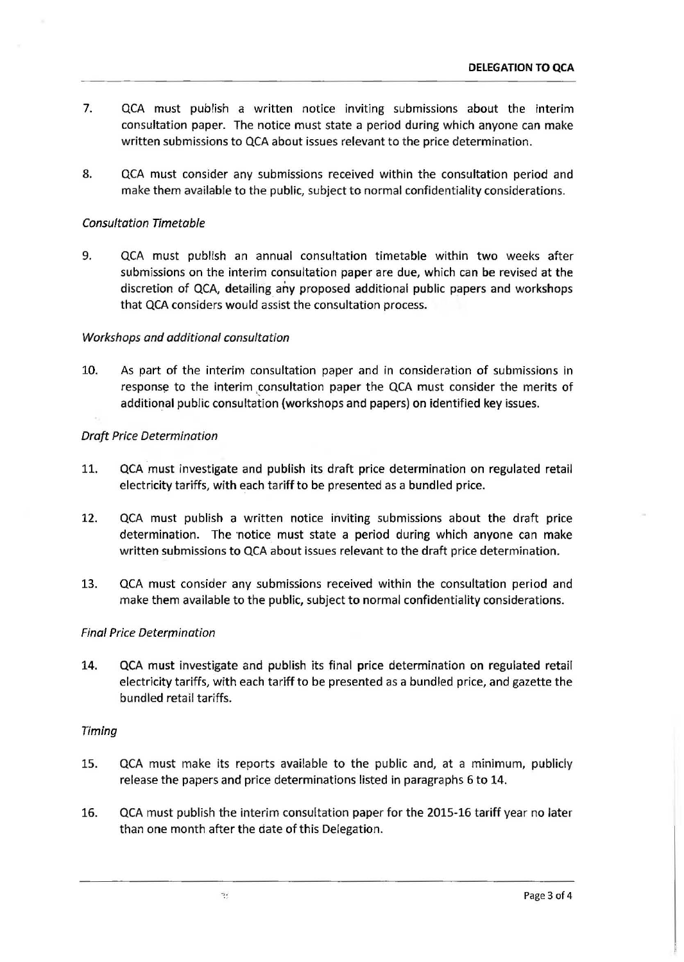- 7. QCA must publish a written notice inviting submissions about the interim consultation paper. The notice must state a period during which anyone can make written submissions to QCA about issues relevant to the price determination.
- 8. QCA must consider any submissions received within the consultation period and make them available to the public, subject to normal confidentiality considerations.

### Consultation Timetable

9. QCA must publish an annual consultation timetable within two weeks after submissions on the interim consultation paper are due, which can be revised at the discretion of QCA, detailing *ahy* proposed additional public papers and workshops that QCA considers would assist the consultation process.

### Workshops and additional consultation

10. As part of the interim consultation paper and in consideration of submissions in response to the interim consultation paper the QCA must consider the merits of additional public consultation (workshops and papers) on identified key issues.

### Draft Price Determination

- 11. QCA must investigate and publish its draft price determination on regulated retail electricity tariffs, with each tariff to be presented as a bundled price.
- 12. QCA must publish a written notice inviting submissions about the draft price determination. The notice must state a period during which anyone can make written submissions to QCA about issues relevant to the draft price determination.
- 13. QCA must consider any submissions received within the consultation period and make them available to the public, subject to normal confidentiality considerations.

#### Final Price Determination

14. QCA must investigate and publish its final price determination on regulated retail electricity tariffs, with each tariff to be presented as a bundled price, and gazette the bundled retail tariffs.

#### Timing

- 15. QCA must make its reports available to the public and, at a minimum, publicly release the papers and price determinations listed in paragraphs 6 to 14.
- 16. QCA must publish the interim consultation paper for the 2015-16 tariff year no later than one month after the date of this Delegation.